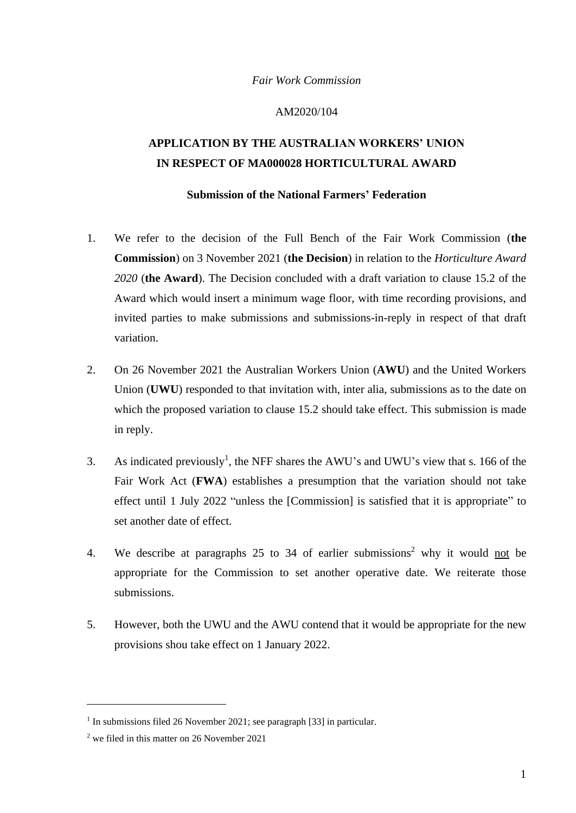## *Fair Work Commission*

## AM2020/104

## **APPLICATION BY THE AUSTRALIAN WORKERS' UNION IN RESPECT OF MA000028 HORTICULTURAL AWARD**

## **Submission of the National Farmers' Federation**

- 1. We refer to the decision of the Full Bench of the Fair Work Commission (**the Commission**) on 3 November 2021 (**the Decision**) in relation to the *Horticulture Award 2020* (**the Award**). The Decision concluded with a draft variation to clause 15.2 of the Award which would insert a minimum wage floor, with time recording provisions, and invited parties to make submissions and submissions-in-reply in respect of that draft variation.
- 2. On 26 November 2021 the Australian Workers Union (**AWU**) and the United Workers Union (**UWU**) responded to that invitation with, inter alia, submissions as to the date on which the proposed variation to clause 15.2 should take effect. This submission is made in reply.
- 3. As indicated previously<sup>1</sup>, the NFF shares the AWU's and UWU's view that s. 166 of the Fair Work Act (**FWA**) establishes a presumption that the variation should not take effect until 1 July 2022 "unless the [Commission] is satisfied that it is appropriate" to set another date of effect.
- 4. We describe at paragraphs  $25$  to  $34$  of earlier submissions<sup>2</sup> why it would not be appropriate for the Commission to set another operative date. We reiterate those submissions.
- 5. However, both the UWU and the AWU contend that it would be appropriate for the new provisions shou take effect on 1 January 2022.

<sup>&</sup>lt;sup>1</sup> In submissions filed 26 November 2021; see paragraph [33] in particular.

 $2$  we filed in this matter on 26 November 2021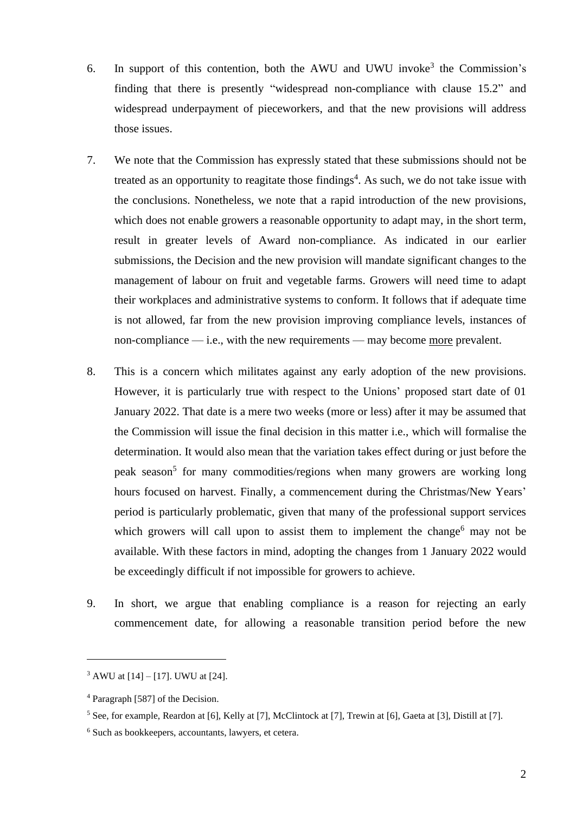- 6. In support of this contention, both the AWU and UWU invoke<sup>3</sup> the Commission's finding that there is presently "widespread non-compliance with clause 15.2" and widespread underpayment of pieceworkers, and that the new provisions will address those issues.
- 7. We note that the Commission has expressly stated that these submissions should not be treated as an opportunity to reagitate those findings<sup>4</sup>. As such, we do not take issue with the conclusions. Nonetheless, we note that a rapid introduction of the new provisions, which does not enable growers a reasonable opportunity to adapt may, in the short term, result in greater levels of Award non-compliance. As indicated in our earlier submissions, the Decision and the new provision will mandate significant changes to the management of labour on fruit and vegetable farms. Growers will need time to adapt their workplaces and administrative systems to conform. It follows that if adequate time is not allowed, far from the new provision improving compliance levels, instances of non-compliance — i.e., with the new requirements — may become more prevalent.
- 8. This is a concern which militates against any early adoption of the new provisions. However, it is particularly true with respect to the Unions' proposed start date of 01 January 2022. That date is a mere two weeks (more or less) after it may be assumed that the Commission will issue the final decision in this matter i.e., which will formalise the determination. It would also mean that the variation takes effect during or just before the peak season<sup>5</sup> for many commodities/regions when many growers are working long hours focused on harvest. Finally, a commencement during the Christmas/New Years' period is particularly problematic, given that many of the professional support services which growers will call upon to assist them to implement the change<sup>6</sup> may not be available. With these factors in mind, adopting the changes from 1 January 2022 would be exceedingly difficult if not impossible for growers to achieve.
- 9. In short, we argue that enabling compliance is a reason for rejecting an early commencement date, for allowing a reasonable transition period before the new

 $3$  AWU at [14] – [17]. UWU at [24].

<sup>4</sup> Paragraph [587] of the Decision.

<sup>&</sup>lt;sup>5</sup> See, for example, Reardon at [6], Kelly at [7], McClintock at [7], Trewin at [6], Gaeta at [3], Distill at [7].

<sup>6</sup> Such as bookkeepers, accountants, lawyers, et cetera.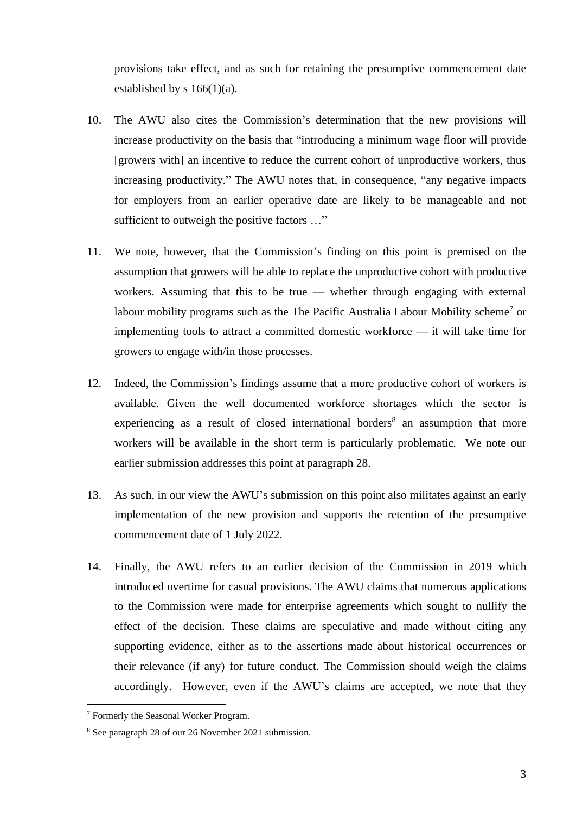provisions take effect, and as such for retaining the presumptive commencement date established by s  $166(1)(a)$ .

- 10. The AWU also cites the Commission's determination that the new provisions will increase productivity on the basis that "introducing a minimum wage floor will provide [growers with] an incentive to reduce the current cohort of unproductive workers, thus increasing productivity." The AWU notes that, in consequence, "any negative impacts for employers from an earlier operative date are likely to be manageable and not sufficient to outweigh the positive factors ..."
- 11. We note, however, that the Commission's finding on this point is premised on the assumption that growers will be able to replace the unproductive cohort with productive workers. Assuming that this to be true — whether through engaging with external labour mobility programs such as the The Pacific Australia Labour Mobility scheme<sup>7</sup> or implementing tools to attract a committed domestic workforce — it will take time for growers to engage with/in those processes.
- 12. Indeed, the Commission's findings assume that a more productive cohort of workers is available. Given the well documented workforce shortages which the sector is experiencing as a result of closed international borders<sup>8</sup> an assumption that more workers will be available in the short term is particularly problematic. We note our earlier submission addresses this point at paragraph 28.
- 13. As such, in our view the AWU's submission on this point also militates against an early implementation of the new provision and supports the retention of the presumptive commencement date of 1 July 2022.
- 14. Finally, the AWU refers to an earlier decision of the Commission in 2019 which introduced overtime for casual provisions. The AWU claims that numerous applications to the Commission were made for enterprise agreements which sought to nullify the effect of the decision. These claims are speculative and made without citing any supporting evidence, either as to the assertions made about historical occurrences or their relevance (if any) for future conduct. The Commission should weigh the claims accordingly. However, even if the AWU's claims are accepted, we note that they

<sup>7</sup> Formerly the Seasonal Worker Program.

<sup>8</sup> See paragraph 28 of our 26 November 2021 submission.